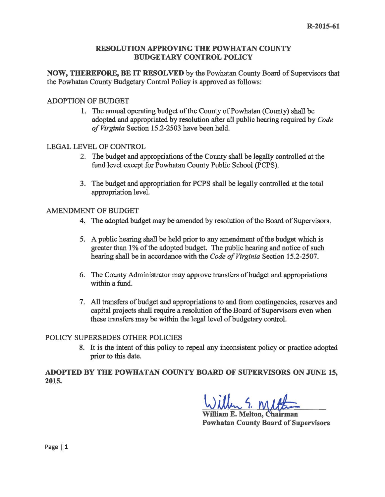### RESOLUTION APPROVING THE POWHATAN COUNTY BUDGETARY CONTROL POLICY

NOW, THEREFORE, BE IT RESOLVED by the Powhatan County Board of Supervisors that the Powhatan County Budgetary Control Policy is approved as follows:

## ADOPTION OF BUDGET

1. The annual operating budget of the County of Powhatan (County) shall be adopted and appropriated by resolution after all public hearing required by *Code of Virginia* Section 15.2-2503 have been held.

### LEGAL LEVEL OF CONTROL

- 2. The budget and appropriations of the County shall be legally controlled at the fund level except for Powhatan County Public School (PCPS).
- 3. The budget and appropriation for PCPS shall be legally controlled at the total appropriation level.

### AMENDMENT OF BUDGET

- 4. The adopted budget maybe amended by resolution of the Board of Supervisors.
- 5. A public hearing shall be held prior to any amendment of the budget which is greater than 1% of the adopted budget. The public hearing and notice of such hearing shall be in accordance with the *Code of Virginia* Section 15.2-2507.
- 6. The County Administrator may approve transfers of budget and appropriations within a fund.
- 7. All transfers of budget and appropriations to and from contingencies, reserves and capital projects shall require a resolution of the Board of Supervisors even when these transfers may be within the legal level of budgetary control.

# POLICY SUPERSEDES OTHER POLICIES

8. It is the intent of this policy to repeal any inconsistent policy or practice adopted prior to this date.

ADOPTED BY THE POWHATAN COUNTY BOARD OF SUPERVISORS ON JUNE 15, 2015.

 $5.01$ 

William E. Melton, Chairman Powhatan County Board of Supervisors